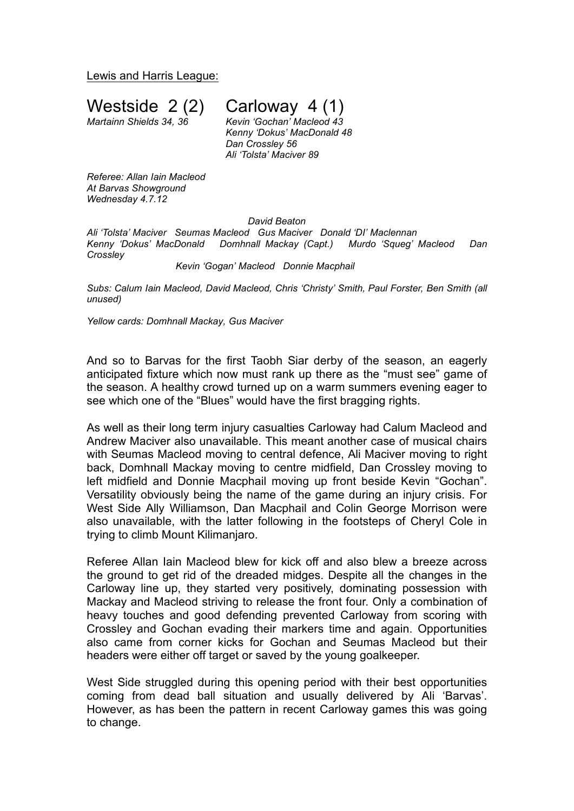Lewis and Harris League:

Westside  $2(2)$  Carloway  $4(1)$ <br>Martainn Shields 34, 36 Kevin 'Gochan' Macleod 43

*Martainn Shields 34, 36 Kevin 'Gochan' Macleod 43 Kenny 'Dokus' MacDonald 48 Dan Crossley 56 Ali 'Tolsta' Maciver 89*

*Referee: Allan Iain Macleod At Barvas Showground Wednesday 4.7.12*

*David Beaton*

*Ali 'Tolsta' Maciver Seumas Macleod Gus Maciver Donald 'DI' Maclennan Kenny 'Dokus' MacDonald Domhnall Mackay (Capt.) Murdo 'Squeg' Macleod Dan Crossley*

## *Kevin 'Gogan' Macleod Donnie Macphail*

*Subs: Calum Iain Macleod, David Macleod, Chris 'Christy' Smith, Paul Forster, Ben Smith (all unused)*

*Yellow cards: Domhnall Mackay, Gus Maciver*

And so to Barvas for the first Taobh Siar derby of the season, an eagerly anticipated fixture which now must rank up there as the "must see" game of the season. A healthy crowd turned up on a warm summers evening eager to see which one of the "Blues" would have the first bragging rights.

As well as their long term injury casualties Carloway had Calum Macleod and Andrew Maciver also unavailable. This meant another case of musical chairs with Seumas Macleod moving to central defence, Ali Maciver moving to right back, Domhnall Mackay moving to centre midfield, Dan Crossley moving to left midfield and Donnie Macphail moving up front beside Kevin "Gochan". Versatility obviously being the name of the game during an injury crisis. For West Side Ally Williamson, Dan Macphail and Colin George Morrison were also unavailable, with the latter following in the footsteps of Cheryl Cole in trying to climb Mount Kilimanjaro.

Referee Allan Iain Macleod blew for kick off and also blew a breeze across the ground to get rid of the dreaded midges. Despite all the changes in the Carloway line up, they started very positively, dominating possession with Mackay and Macleod striving to release the front four. Only a combination of heavy touches and good defending prevented Carloway from scoring with Crossley and Gochan evading their markers time and again. Opportunities also came from corner kicks for Gochan and Seumas Macleod but their headers were either off target or saved by the young goalkeeper.

West Side struggled during this opening period with their best opportunities coming from dead ball situation and usually delivered by Ali 'Barvas'. However, as has been the pattern in recent Carloway games this was going to change.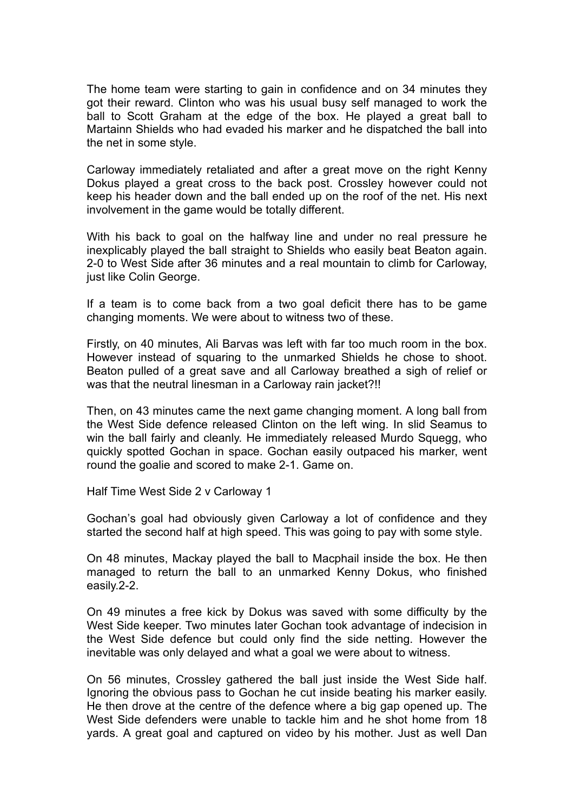The home team were starting to gain in confidence and on 34 minutes they got their reward. Clinton who was his usual busy self managed to work the ball to Scott Graham at the edge of the box. He played a great ball to Martainn Shields who had evaded his marker and he dispatched the ball into the net in some style.

Carloway immediately retaliated and after a great move on the right Kenny Dokus played a great cross to the back post. Crossley however could not keep his header down and the ball ended up on the roof of the net. His next involvement in the game would be totally different.

With his back to goal on the halfway line and under no real pressure he inexplicably played the ball straight to Shields who easily beat Beaton again. 2-0 to West Side after 36 minutes and a real mountain to climb for Carloway, just like Colin George.

If a team is to come back from a two goal deficit there has to be game changing moments. We were about to witness two of these.

Firstly, on 40 minutes, Ali Barvas was left with far too much room in the box. However instead of squaring to the unmarked Shields he chose to shoot. Beaton pulled of a great save and all Carloway breathed a sigh of relief or was that the neutral linesman in a Carloway rain jacket?!!

Then, on 43 minutes came the next game changing moment. A long ball from the West Side defence released Clinton on the left wing. In slid Seamus to win the ball fairly and cleanly. He immediately released Murdo Squegg, who quickly spotted Gochan in space. Gochan easily outpaced his marker, went round the goalie and scored to make 2-1. Game on.

Half Time West Side 2 v Carloway 1

Gochan's goal had obviously given Carloway a lot of confidence and they started the second half at high speed. This was going to pay with some style.

On 48 minutes, Mackay played the ball to Macphail inside the box. He then managed to return the ball to an unmarked Kenny Dokus, who finished easily.2-2.

On 49 minutes a free kick by Dokus was saved with some difficulty by the West Side keeper. Two minutes later Gochan took advantage of indecision in the West Side defence but could only find the side netting. However the inevitable was only delayed and what a goal we were about to witness.

On 56 minutes, Crossley gathered the ball just inside the West Side half. Ignoring the obvious pass to Gochan he cut inside beating his marker easily. He then drove at the centre of the defence where a big gap opened up. The West Side defenders were unable to tackle him and he shot home from 18 yards. A great goal and captured on video by his mother. Just as well Dan